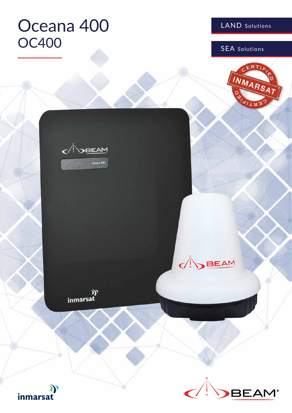# Oceana 400 OC400 SEA Solutions

LAND Solutions

 $ERT$ 

INMARSAT



**ON BEAM** 

((<br>inmarsat



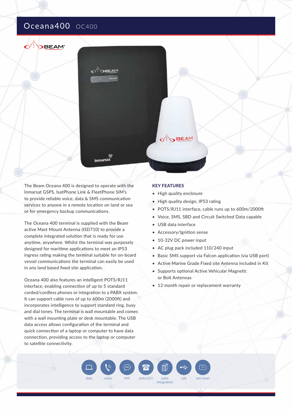# Oceana400 OC400

**DBEAM**<sup>\*</sup>



The Beam Oceana 400 is designed to operate with the Inmarsat GSPS, IsatPhone Link & FleetPhone SIM's to provide reliable voice, data & SMS communication services to anyone in a remote location on land or sea or for emergency backup communications.

The Oceana 400 terminal is supplied with the Beam active Mast Mount Antenna (ISD710) to provide a complete integrated solution that is ready for use anytime, anywhere. Whilst the terminal was purposely designed for maritime applications to meet an IP53 ingress rating making the terminal suitable for on-board vessel communications the terminal can easily be used in any land based fixed site application.

Oceana 400 also features an intelligent POTS/RJ11 interface, enabling connection of up to 5 standard corded/cordless phones or integration to a PABX system. It can support cable runs of up to 600m (2000ft) and incorporates intelligence to support standard ring, busy and dial tones. The terminal is wall mountable and comes with a wall mounting plate or desk mountable. The USB data access allows configuration of the terminal and quick connection of a laptop or computer to have data connection, providing access to the laptop or computer to satellite connectivity.

#### **KEY FEATURES**

- High quality enclosure
- High quality design, IP53 rating
- POTS/RJ11 interface, cable runs up to 600m/2000ft
- Voice, SMS, SBD and Circuit Switched Data capable
- USB data interface

data voice sms pots/rj11 pabx usb sim (rear)

 $pots/ri11$ 

integration

罰

- Accessory/Ignition sense
- 10-32V DC power input
- AC plug pack included 110/240 input
- Basic SMS support via Falcon application (via USB port)
- Active Marine Grade Fixed site Antenna included in Kit
- Supports optional Active Vehicular Magnetic or Bolt Antennas
- 12 month repair or replacement warranty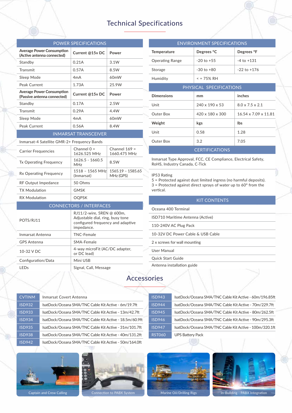# Technical Specifications

| <b>POWER SPECIFICATIONS</b>                                     |                                                                                                                  |                                 |  |  |
|-----------------------------------------------------------------|------------------------------------------------------------------------------------------------------------------|---------------------------------|--|--|
| Average Power Consumption<br>(Active antenna connected)         | Current @15v DC                                                                                                  | Power                           |  |  |
| Standby                                                         | 0.21A                                                                                                            | 3.1W                            |  |  |
| Transmit                                                        | 0.57A                                                                                                            | 8.5W                            |  |  |
| Sleep Mode                                                      | 4mA                                                                                                              | 60mW                            |  |  |
| Peak Current                                                    | 1.73A                                                                                                            | 25.9W                           |  |  |
| <b>Average Power Consumption</b><br>(Passive antenna connected) | Current @15v DC                                                                                                  | Power                           |  |  |
| Standby                                                         | 0.17A                                                                                                            | 2.5W                            |  |  |
| Transmit                                                        | 0.29A                                                                                                            | 4.4W                            |  |  |
| Sleep Mode                                                      | 4mA                                                                                                              | 60 <sub>m</sub> W               |  |  |
| Peak Current                                                    | 0.56A                                                                                                            | 8.4W                            |  |  |
| <b>INMARSAT TRANSCEIVER</b>                                     |                                                                                                                  |                                 |  |  |
| Inmarsat-4 Satellite GMR-2+ Frequency Bands                     |                                                                                                                  |                                 |  |  |
| <b>Carrier Frequencies</b>                                      | Channel $0 =$<br>1626.525 MHz                                                                                    | Channel $169 =$<br>1660.475 MHz |  |  |
| <b>Tx Operating Frequency</b>                                   | 1626.5 - 1660.5<br><b>MHz</b>                                                                                    | 8.5W                            |  |  |
| Rx Operating Frequency                                          | $1518 - 1565 \text{ MHz}$<br>(Inmarsat)                                                                          | 1565.19 - 1585.65<br>MHz (GPS)  |  |  |
| <b>RF Output Impedance</b>                                      | 50 Ohms                                                                                                          |                                 |  |  |
| <b>TX Modulation</b>                                            | <b>GMSK</b>                                                                                                      |                                 |  |  |
| <b>RX Modulation</b>                                            | <b>OQPSK</b>                                                                                                     |                                 |  |  |
|                                                                 | <b>CONNECTORS / INTERFACES</b>                                                                                   |                                 |  |  |
| POTS/RJ11                                                       | RJ11/2-wire, 5REN @ 600m,<br>Adjustable dial, ring, busy tone<br>configured frequency and adaptive<br>impedance. |                                 |  |  |
| Inmarsat Antenna                                                | <b>TNC-Female</b>                                                                                                |                                 |  |  |
| <b>GPS Antenna</b>                                              | SMA-Female                                                                                                       |                                 |  |  |
| 10-32 V DC                                                      | 4-way microFit (AC/DC adapter,<br>or DC lead)                                                                    |                                 |  |  |
| Configuration/Data                                              | Mini USB                                                                                                         |                                 |  |  |
| <b>LEDs</b>                                                     | Signal, Call, Message                                                                                            |                                 |  |  |

| <b>Temperature</b><br><b>Operating Range</b><br>Storage | <b>ENVIRONMENT SPECIFICATIONS</b><br>Degrees °C<br>$-20$ to $+55$<br>$-30$ to $+80$ | Degrees °F<br>$-4$ to $+131$ |  |  |
|---------------------------------------------------------|-------------------------------------------------------------------------------------|------------------------------|--|--|
|                                                         |                                                                                     |                              |  |  |
|                                                         |                                                                                     |                              |  |  |
|                                                         |                                                                                     |                              |  |  |
|                                                         |                                                                                     | $-22$ to $+176$              |  |  |
| Humidity                                                | $\le$ = 75% RH                                                                      |                              |  |  |
| PHYSICAL SPECIFICATIONS                                 |                                                                                     |                              |  |  |
| <b>Dimensions</b><br>mm                                 |                                                                                     | inches                       |  |  |
| Unit                                                    | $240 \times 190 \times 53$                                                          | $8.0 \times 7.5 \times 2.1$  |  |  |
| Outer Box                                               | $420 \times 180 \times 300$                                                         | 16.54 x 7.09 x 11.81         |  |  |
| Weight<br>kgs                                           |                                                                                     | <b>lbs</b>                   |  |  |
| Unit<br>0.58                                            |                                                                                     | 1.28                         |  |  |
| Outer Box<br>3.2                                        |                                                                                     | 7.05                         |  |  |
|                                                         | <b>CERTIFICATIONS</b>                                                               |                              |  |  |

Inmarsat Type Approval, FCC, CE Compliance, Electrical Safety, RoHS, Industry Canada, C-Tick

#### IP53 Rating

5 = Protected against dust limited ingress (no harmful deposits). 3 = Protected against direct sprays of water up to 60° from the vertical.

| <b>KIT CONTENTS</b>               |  |  |
|-----------------------------------|--|--|
| Oceana 400 Terminal               |  |  |
| ISD710 Maritime Antenna (Active)  |  |  |
| 110-240V AC Plug Pack             |  |  |
| 10-32V DC Power Cable & USB Cable |  |  |
| 2 x screws for wall mounting      |  |  |
| User Manual                       |  |  |
| <b>Quick Start Guide</b>          |  |  |
| Antenna installation guide        |  |  |

## Accessories

| <b>CVTINM</b> | Inmarsat Covert Antenna                                 | <b>ISD943</b> | IsatDock/Oceana SMA/TNC Cable Kit Active - 60m/196.85ft |
|---------------|---------------------------------------------------------|---------------|---------------------------------------------------------|
| <b>ISD932</b> | IsatDock/Oceana SMA/TNC Cable Kit Active - 6m/19.7ft    | <b>ISD944</b> | IsatDock/Oceana SMA/TNC Cable Kit Active - 70m/229.7ft  |
| <b>ISD933</b> | IsatDock/Oceana SMA/TNC Cable Kit Active - 13m/42.7ft   | ISD945        | IsatDock/Oceana SMA/TNC Cable Kit Active - 80m/262.5ft  |
| <b>ISD934</b> | IsatDock/Oceana SMA/TNC Cable Kit Active - 18.5m/60.9ft | ISD946        | IsatDock/Oceana SMA/TNC Cable Kit Active - 90m/295.3ft  |
| <b>ISD935</b> | IsatDock/Oceana SMA/TNC Cable Kit Active - 31m/101.7ft  | <b>ISD947</b> | IsatDock/Oceana SMA/TNC Cable Kit Active - 100m/320.1ft |
| <b>ISD938</b> | IsatDock/Oceana SMA/TNC Cable Kit Active - 40m/131.2ft  | <b>RST060</b> | <b>UPS Battery Pack</b>                                 |
| <b>ISD942</b> | IsatDock/Oceana SMA/TNC Cable Kit Active - 50m/164.0ft  |               |                                                         |
|               |                                                         |               |                                                         |





Captain and Crew Calling Connection to PABX System Marine Oil/Drilling Rigs In-Building - PABX Integration